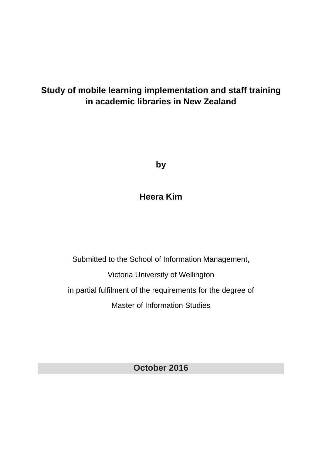## **Study of mobile learning implementation and staff training in academic libraries in New Zealand**

**by**

## **Heera Kim**

Submitted to the School of Information Management, Victoria University of Wellington in partial fulfilment of the requirements for the degree of Master of Information Studies

**October 2016**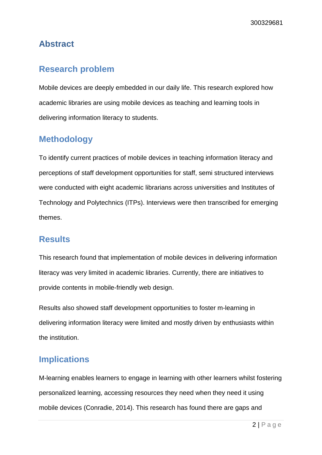## <span id="page-1-0"></span>**Abstract**

## <span id="page-1-1"></span>**Research problem**

Mobile devices are deeply embedded in our daily life. This research explored how academic libraries are using mobile devices as teaching and learning tools in delivering information literacy to students.

## <span id="page-1-2"></span>**Methodology**

To identify current practices of mobile devices in teaching information literacy and perceptions of staff development opportunities for staff, semi structured interviews were conducted with eight academic librarians across universities and Institutes of Technology and Polytechnics (ITPs). Interviews were then transcribed for emerging themes.

### <span id="page-1-3"></span>**Results**

This research found that implementation of mobile devices in delivering information literacy was very limited in academic libraries. Currently, there are initiatives to provide contents in mobile-friendly web design.

Results also showed staff development opportunities to foster m-learning in delivering information literacy were limited and mostly driven by enthusiasts within the institution.

## <span id="page-1-4"></span>**Implications**

M-learning enables learners to engage in learning with other learners whilst fostering personalized learning, accessing resources they need when they need it using mobile devices (Conradie, 2014). This research has found there are gaps and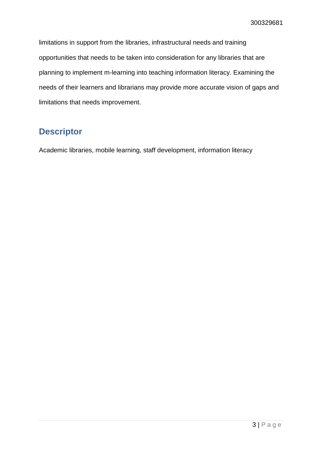limitations in support from the libraries, infrastructural needs and training opportunities that needs to be taken into consideration for any libraries that are planning to implement m-learning into teaching information literacy. Examining the needs of their learners and librarians may provide more accurate vision of gaps and limitations that needs improvement.

## <span id="page-2-0"></span>**Descriptor**

Academic libraries, mobile learning, staff development, information literacy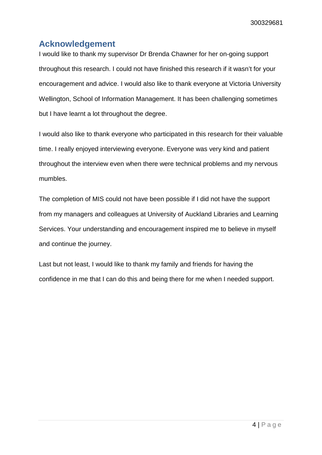## <span id="page-3-0"></span>**Acknowledgement**

I would like to thank my supervisor Dr Brenda Chawner for her on-going support throughout this research. I could not have finished this research if it wasn't for your encouragement and advice. I would also like to thank everyone at Victoria University Wellington, School of Information Management. It has been challenging sometimes but I have learnt a lot throughout the degree.

I would also like to thank everyone who participated in this research for their valuable time. I really enjoyed interviewing everyone. Everyone was very kind and patient throughout the interview even when there were technical problems and my nervous mumbles.

The completion of MIS could not have been possible if I did not have the support from my managers and colleagues at University of Auckland Libraries and Learning Services. Your understanding and encouragement inspired me to believe in myself and continue the journey.

Last but not least, I would like to thank my family and friends for having the confidence in me that I can do this and being there for me when I needed support.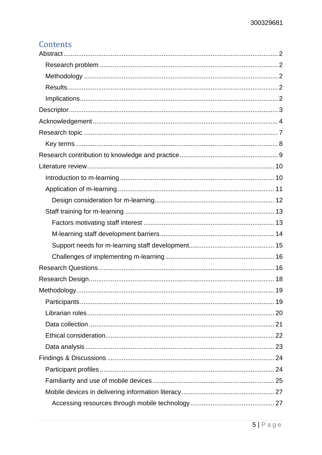## Contents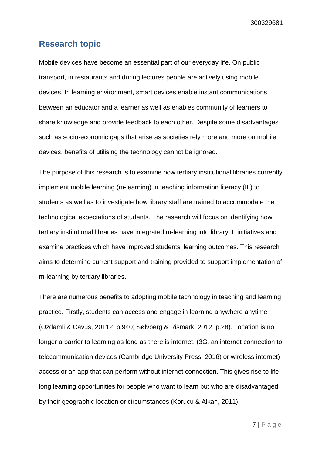### <span id="page-6-0"></span>**Research topic**

Mobile devices have become an essential part of our everyday life. On public transport, in restaurants and during lectures people are actively using mobile devices. In learning environment, smart devices enable instant communications between an educator and a learner as well as enables community of learners to share knowledge and provide feedback to each other. Despite some disadvantages such as socio-economic gaps that arise as societies rely more and more on mobile devices, benefits of utilising the technology cannot be ignored.

The purpose of this research is to examine how tertiary institutional libraries currently implement mobile learning (m-learning) in teaching information literacy (IL) to students as well as to investigate how library staff are trained to accommodate the technological expectations of students. The research will focus on identifying how tertiary institutional libraries have integrated m-learning into library IL initiatives and examine practices which have improved students' learning outcomes. This research aims to determine current support and training provided to support implementation of m-learning by tertiary libraries.

There are numerous benefits to adopting mobile technology in teaching and learning practice. Firstly, students can access and engage in learning anywhere anytime (Ozdamli & Cavus, 20112, p.940; Sølvberg & Rismark, 2012, p.28). Location is no longer a barrier to learning as long as there is internet, (3G, an internet connection to telecommunication devices (Cambridge University Press, 2016) or wireless internet) access or an app that can perform without internet connection. This gives rise to lifelong learning opportunities for people who want to learn but who are disadvantaged by their geographic location or circumstances (Korucu & Alkan, 2011).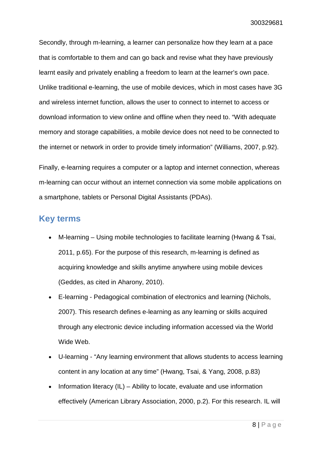Secondly, through m-learning, a learner can personalize how they learn at a pace that is comfortable to them and can go back and revise what they have previously learnt easily and privately enabling a freedom to learn at the learner's own pace. Unlike traditional e-learning, the use of mobile devices, which in most cases have 3G and wireless internet function, allows the user to connect to internet to access or download information to view online and offline when they need to. "With adequate memory and storage capabilities, a mobile device does not need to be connected to the internet or network in order to provide timely information" (Williams, 2007, p.92).

Finally, e-learning requires a computer or a laptop and internet connection, whereas m-learning can occur without an internet connection via some mobile applications on a smartphone, tablets or Personal Digital Assistants (PDAs).

### <span id="page-7-0"></span>**Key terms**

- M-learning Using mobile technologies to facilitate learning (Hwang & Tsai, 2011, p.65). For the purpose of this research, m-learning is defined as acquiring knowledge and skills anytime anywhere using mobile devices (Geddes, as cited in Aharony, 2010).
- E-learning Pedagogical combination of electronics and learning (Nichols, 2007). This research defines e-learning as any learning or skills acquired through any electronic device including information accessed via the World Wide Web.
- U-learning "Any learning environment that allows students to access learning content in any location at any time" (Hwang, Tsai, & Yang, 2008, p.83)
- Information literacy (IL) Ability to locate, evaluate and use information effectively (American Library Association, 2000, p.2). For this research. IL will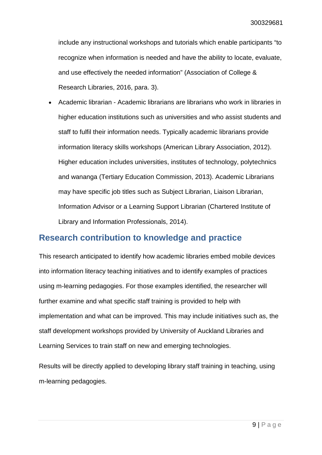include any instructional workshops and tutorials which enable participants "to recognize when information is needed and have the ability to locate, evaluate, and use effectively the needed information" (Association of College & Research Libraries, 2016, para. 3).

• Academic librarian - Academic librarians are librarians who work in libraries in higher education institutions such as universities and who assist students and staff to fulfil their information needs. Typically academic librarians provide information literacy skills workshops (American Library Association, 2012). Higher education includes universities, institutes of technology, polytechnics and wananga (Tertiary Education Commission, 2013). Academic Librarians may have specific job titles such as Subject Librarian, Liaison Librarian, Information Advisor or a Learning Support Librarian (Chartered Institute of Library and Information Professionals, 2014).

## <span id="page-8-0"></span>**Research contribution to knowledge and practice**

This research anticipated to identify how academic libraries embed mobile devices into information literacy teaching initiatives and to identify examples of practices using m-learning pedagogies. For those examples identified, the researcher will further examine and what specific staff training is provided to help with implementation and what can be improved. This may include initiatives such as, the staff development workshops provided by University of Auckland Libraries and Learning Services to train staff on new and emerging technologies.

Results will be directly applied to developing library staff training in teaching, using m-learning pedagogies.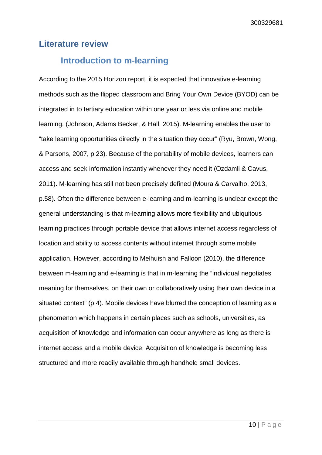### <span id="page-9-0"></span>**Literature review**

### <span id="page-9-1"></span>**Introduction to m-learning**

According to the 2015 Horizon report, it is expected that innovative e-learning methods such as the flipped classroom and Bring Your Own Device (BYOD) can be integrated in to tertiary education within one year or less via online and mobile learning. (Johnson, Adams Becker, & Hall, 2015). M-learning enables the user to "take learning opportunities directly in the situation they occur" (Ryu, Brown, Wong, & Parsons, 2007, p.23). Because of the portability of mobile devices, learners can access and seek information instantly whenever they need it (Ozdamli & Cavus, 2011). M-learning has still not been precisely defined (Moura & Carvalho, 2013, p.58). Often the difference between e-learning and m-learning is unclear except the general understanding is that m-learning allows more flexibility and ubiquitous learning practices through portable device that allows internet access regardless of location and ability to access contents without internet through some mobile application. However, according to Melhuish and Falloon (2010), the difference between m-learning and e-learning is that in m-learning the "individual negotiates meaning for themselves, on their own or collaboratively using their own device in a situated context" (p.4). Mobile devices have blurred the conception of learning as a phenomenon which happens in certain places such as schools, universities, as acquisition of knowledge and information can occur anywhere as long as there is internet access and a mobile device. Acquisition of knowledge is becoming less structured and more readily available through handheld small devices.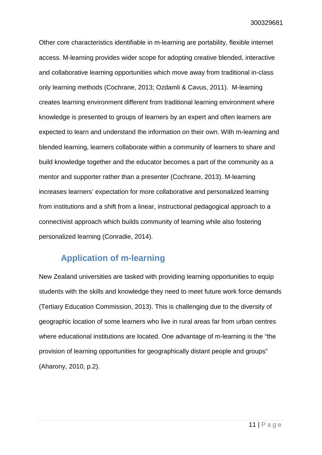Other core characteristics identifiable in m-learning are portability, flexible internet access. M-learning provides wider scope for adopting creative blended, interactive and collaborative learning opportunities which move away from traditional in-class only learning methods (Cochrane, 2013; Ozdamli & Cavus, 2011). M-learning creates learning environment different from traditional learning environment where knowledge is presented to groups of learners by an expert and often learners are expected to learn and understand the information on their own. With m-learning and blended learning, learners collaborate within a community of learners to share and build knowledge together and the educator becomes a part of the community as a mentor and supporter rather than a presenter (Cochrane, 2013). M-learning increases learners' expectation for more collaborative and personalized learning from institutions and a shift from a linear, instructional pedagogical approach to a connectivist approach which builds community of learning while also fostering personalized learning (Conradie, 2014).

### <span id="page-10-0"></span>**Application of m-learning**

New Zealand universities are tasked with providing learning opportunities to equip students with the skills and knowledge they need to meet future work force demands (Tertiary Education Commission, 2013). This is challenging due to the diversity of geographic location of some learners who live in rural areas far from urban centres where educational institutions are located. One advantage of m-learning is the "the provision of learning opportunities for geographically distant people and groups" (Aharony, 2010, p.2).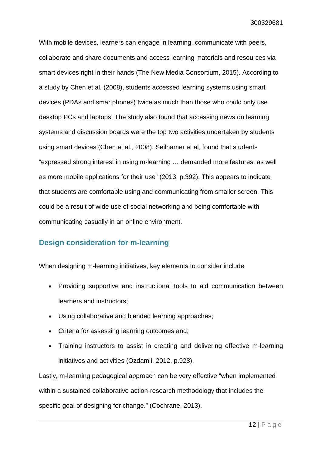With mobile devices, learners can engage in learning, communicate with peers, collaborate and share documents and access learning materials and resources via smart devices right in their hands (The New Media Consortium, 2015). According to a study by Chen et al. (2008), students accessed learning systems using smart devices (PDAs and smartphones) twice as much than those who could only use desktop PCs and laptops. The study also found that accessing news on learning systems and discussion boards were the top two activities undertaken by students using smart devices (Chen et al., 2008). Seilhamer et al, found that students "expressed strong interest in using m-learning … demanded more features, as well as more mobile applications for their use" (2013, p.392). This appears to indicate that students are comfortable using and communicating from smaller screen. This could be a result of wide use of social networking and being comfortable with communicating casually in an online environment.

### <span id="page-11-0"></span>**Design consideration for m-learning**

When designing m-learning initiatives, key elements to consider include

- Providing supportive and instructional tools to aid communication between learners and instructors;
- Using collaborative and blended learning approaches;
- Criteria for assessing learning outcomes and;
- Training instructors to assist in creating and delivering effective m-learning initiatives and activities (Ozdamli, 2012, p.928).

Lastly, m-learning pedagogical approach can be very effective "when implemented within a sustained collaborative action-research methodology that includes the specific goal of designing for change." (Cochrane, 2013).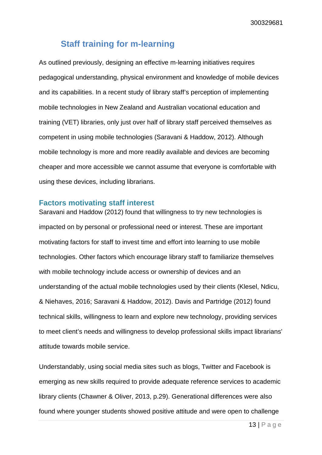## <span id="page-12-0"></span>**Staff training for m-learning**

As outlined previously, designing an effective m-learning initiatives requires pedagogical understanding, physical environment and knowledge of mobile devices and its capabilities. In a recent study of library staff's perception of implementing mobile technologies in New Zealand and Australian vocational education and training (VET) libraries, only just over half of library staff perceived themselves as competent in using mobile technologies (Saravani & Haddow, 2012). Although mobile technology is more and more readily available and devices are becoming cheaper and more accessible we cannot assume that everyone is comfortable with using these devices, including librarians.

#### <span id="page-12-1"></span>**Factors motivating staff interest**

Saravani and Haddow (2012) found that willingness to try new technologies is impacted on by personal or professional need or interest. These are important motivating factors for staff to invest time and effort into learning to use mobile technologies. Other factors which encourage library staff to familiarize themselves with mobile technology include access or ownership of devices and an understanding of the actual mobile technologies used by their clients (Klesel, Ndicu, & Niehaves, 2016; Saravani & Haddow, 2012). Davis and Partridge (2012) found technical skills, willingness to learn and explore new technology, providing services to meet client's needs and willingness to develop professional skills impact librarians' attitude towards mobile service.

Understandably, using social media sites such as blogs, Twitter and Facebook is emerging as new skills required to provide adequate reference services to academic library clients (Chawner & Oliver, 2013, p.29). Generational differences were also found where younger students showed positive attitude and were open to challenge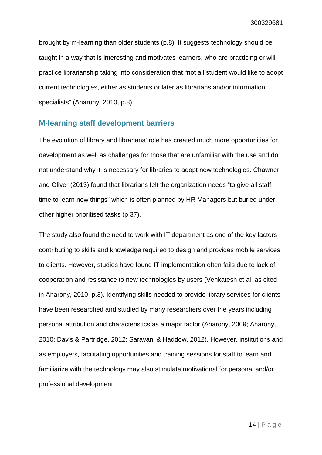brought by m-learning than older students (p.8). It suggests technology should be taught in a way that is interesting and motivates learners, who are practicing or will practice librarianship taking into consideration that "not all student would like to adopt current technologies, either as students or later as librarians and/or information specialists" (Aharony, 2010, p.8).

#### <span id="page-13-0"></span>**M-learning staff development barriers**

The evolution of library and librarians' role has created much more opportunities for development as well as challenges for those that are unfamiliar with the use and do not understand why it is necessary for libraries to adopt new technologies. Chawner and Oliver (2013) found that librarians felt the organization needs "to give all staff time to learn new things" which is often planned by HR Managers but buried under other higher prioritised tasks (p.37).

The study also found the need to work with IT department as one of the key factors contributing to skills and knowledge required to design and provides mobile services to clients. However, studies have found IT implementation often fails due to lack of cooperation and resistance to new technologies by users (Venkatesh et al, as cited in Aharony, 2010, p.3). Identifying skills needed to provide library services for clients have been researched and studied by many researchers over the years including personal attribution and characteristics as a major factor (Aharony, 2009; Aharony, 2010; Davis & Partridge, 2012; Saravani & Haddow, 2012). However, institutions and as employers, facilitating opportunities and training sessions for staff to learn and familiarize with the technology may also stimulate motivational for personal and/or professional development.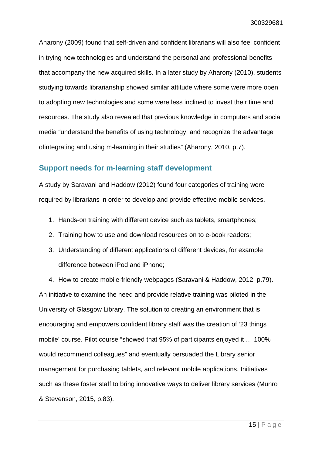Aharony (2009) found that self-driven and confident librarians will also feel confident in trying new technologies and understand the personal and professional benefits that accompany the new acquired skills. In a later study by Aharony (2010), students studying towards librarianship showed similar attitude where some were more open to adopting new technologies and some were less inclined to invest their time and resources. The study also revealed that previous knowledge in computers and social media "understand the benefits of using technology, and recognize the advantage ofintegrating and using m-learning in their studies" (Aharony, 2010, p.7).

#### <span id="page-14-0"></span>**Support needs for m-learning staff development**

A study by Saravani and Haddow (2012) found four categories of training were required by librarians in order to develop and provide effective mobile services.

- 1. Hands-on training with different device such as tablets, smartphones;
- 2. Training how to use and download resources on to e-book readers;
- 3. Understanding of different applications of different devices, for example difference between iPod and iPhone;

4. How to create mobile-friendly webpages (Saravani & Haddow, 2012, p.79). An initiative to examine the need and provide relative training was piloted in the University of Glasgow Library. The solution to creating an environment that is encouraging and empowers confident library staff was the creation of '23 things mobile' course. Pilot course "showed that 95% of participants enjoyed it … 100% would recommend colleagues" and eventually persuaded the Library senior management for purchasing tablets, and relevant mobile applications. Initiatives such as these foster staff to bring innovative ways to deliver library services (Munro & Stevenson, 2015, p.83).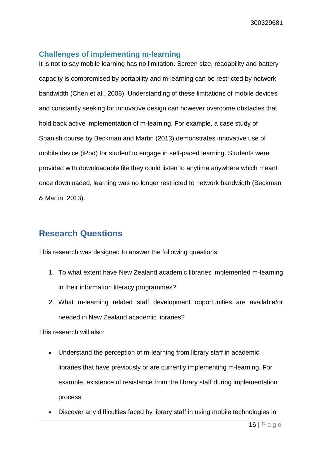#### <span id="page-15-0"></span>**Challenges of implementing m-learning**

It is not to say mobile learning has no limitation. Screen size, readability and battery capacity is compromised by portability and m-learning can be restricted by network bandwidth (Chen et al., 2008). Understanding of these limitations of mobile devices and constantly seeking for innovative design can however overcome obstacles that hold back active implementation of m-learning. For example, a case study of Spanish course by Beckman and Martin (2013) demonstrates innovative use of mobile device (iPod) for student to engage in self-paced learning. Students were provided with downloadable file they could listen to anytime anywhere which meant once downloaded, learning was no longer restricted to network bandwidth (Beckman & Martin, 2013).

## <span id="page-15-1"></span>**Research Questions**

This research was designed to answer the following questions:

- 1. To what extent have New Zealand academic libraries implemented m-learning in their information literacy programmes?
- 2. What m-learning related staff development opportunities are available/or needed in New Zealand academic libraries?

This research will also:

- Understand the perception of m-learning from library staff in academic libraries that have previously or are currently implementing m-learning. For example, existence of resistance from the library staff during implementation process
- Discover any difficulties faced by library staff in using mobile technologies in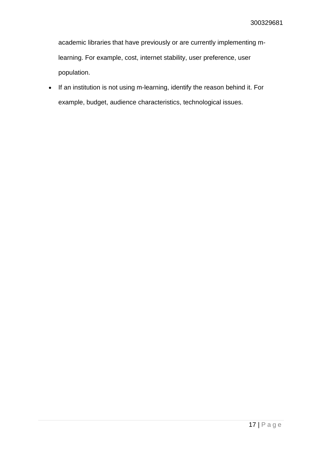academic libraries that have previously or are currently implementing mlearning. For example, cost, internet stability, user preference, user population.

• If an institution is not using m-learning, identify the reason behind it. For example, budget, audience characteristics, technological issues.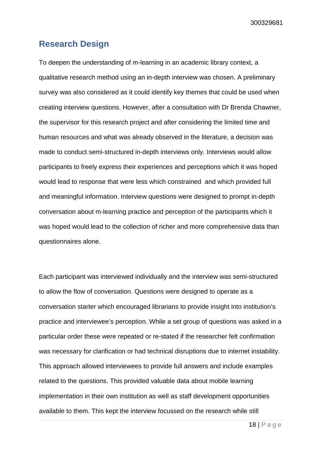### <span id="page-17-0"></span>**Research Design**

To deepen the understanding of m-learning in an academic library context, a qualitative research method using an in-depth interview was chosen. A preliminary survey was also considered as it could identify key themes that could be used when creating interview questions. However, after a consultation with Dr Brenda Chawner, the supervisor for this research project and after considering the limited time and human resources and what was already observed in the literature, a decision was made to conduct semi-structured in-depth interviews only. Interviews would allow participants to freely express their experiences and perceptions which it was hoped would lead to response that were less which constrained and which provided full and meaningful information. Interview questions were designed to prompt in-depth conversation about m-learning practice and perception of the participants which it was hoped would lead to the collection of richer and more comprehensive data than questionnaires alone.

Each participant was interviewed individually and the interview was semi-structured to allow the flow of conversation. Questions were designed to operate as a conversation starter which encouraged librarians to provide insight into institution's practice and interviewee's perception. While a set group of questions was asked in a particular order these were repeated or re-stated if the researcher felt confirmation was necessary for clarification or had technical disruptions due to internet instability. This approach allowed interviewees to provide full answers and include examples related to the questions. This provided valuable data about mobile learning implementation in their own institution as well as staff development opportunities available to them. This kept the interview focussed on the research while still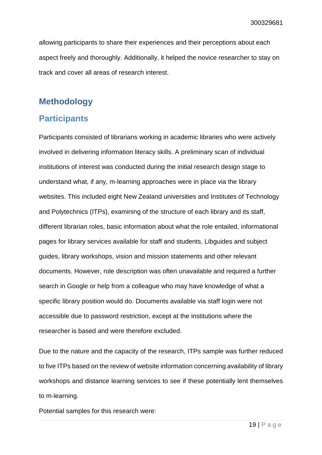allowing participants to share their experiences and their perceptions about each aspect freely and thoroughly. Additionally, it helped the novice researcher to stay on track and cover all areas of research interest.

## <span id="page-18-0"></span>**Methodology**

## <span id="page-18-1"></span>**Participants**

Participants consisted of librarians working in academic libraries who were actively involved in delivering information literacy skills. A preliminary scan of individual institutions of interest was conducted during the initial research design stage to understand what, if any, m-learning approaches were in place via the library websites. This included eight New Zealand universities and Institutes of Technology and Polytechnics (ITPs), examining of the structure of each library and its staff, different librarian roles, basic information about what the role entailed, informational pages for library services available for staff and students, Libguides and subject guides, library workshops, vision and mission statements and other relevant documents. However, role description was often unavailable and required a further search in Google or help from a colleague who may have knowledge of what a specific library position would do. Documents available via staff login were not accessible due to password restriction, except at the institutions where the researcher is based and were therefore excluded.

Due to the nature and the capacity of the research, ITPs sample was further reduced to five ITPs based on the review of website information concerning availability of library workshops and distance learning services to see if these potentially lent themselves to m-learning.

Potential samples for this research were: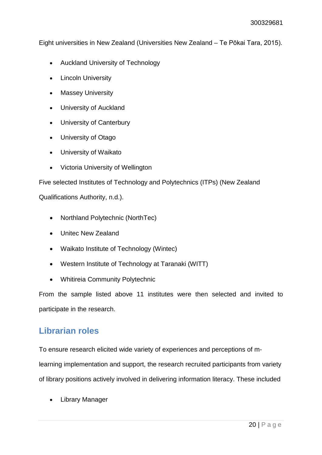Eight universities in New Zealand (Universities New Zealand – Te Pōkai Tara, 2015).

- Auckland University of Technology
- Lincoln University
- **Massey University**
- University of Auckland
- University of Canterbury
- University of Otago
- University of Waikato
- Victoria University of Wellington

Five selected Institutes of Technology and Polytechnics (ITPs) (New Zealand

Qualifications Authority, n.d.).

- Northland Polytechnic (NorthTec)
- Unitec New Zealand
- Waikato Institute of Technology (Wintec)
- Western Institute of Technology at Taranaki (WITT)
- Whitireia Community Polytechnic

From the sample listed above 11 institutes were then selected and invited to participate in the research.

## <span id="page-19-0"></span>**Librarian roles**

To ensure research elicited wide variety of experiences and perceptions of mlearning implementation and support, the research recruited participants from variety of library positions actively involved in delivering information literacy. These included

• Library Manager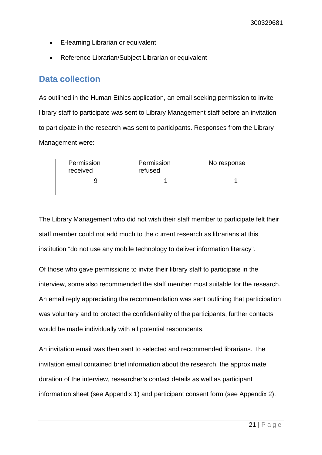- E-learning Librarian or equivalent
- Reference Librarian/Subject Librarian or equivalent

## <span id="page-20-0"></span>**Data collection**

As outlined in the Human Ethics application, an email seeking permission to invite library staff to participate was sent to Library Management staff before an invitation to participate in the research was sent to participants. Responses from the Library Management were:

| Permission<br>received | Permission<br>refused | No response |
|------------------------|-----------------------|-------------|
|                        |                       |             |

The Library Management who did not wish their staff member to participate felt their staff member could not add much to the current research as librarians at this institution "do not use any mobile technology to deliver information literacy".

Of those who gave permissions to invite their library staff to participate in the interview, some also recommended the staff member most suitable for the research. An email reply appreciating the recommendation was sent outlining that participation was voluntary and to protect the confidentiality of the participants, further contacts would be made individually with all potential respondents.

An invitation email was then sent to selected and recommended librarians. The invitation email contained brief information about the research, the approximate duration of the interview, researcher's contact details as well as participant information sheet (see Appendix 1) and participant consent form (see Appendix 2).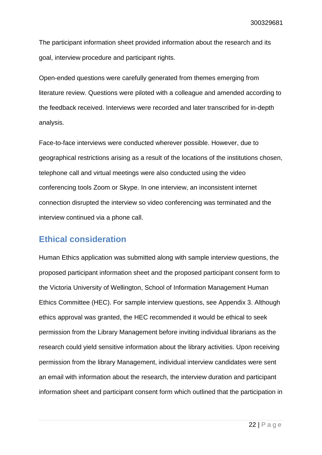The participant information sheet provided information about the research and its goal, interview procedure and participant rights.

Open-ended questions were carefully generated from themes emerging from literature review. Questions were piloted with a colleague and amended according to the feedback received. Interviews were recorded and later transcribed for in-depth analysis.

Face-to-face interviews were conducted wherever possible. However, due to geographical restrictions arising as a result of the locations of the institutions chosen, telephone call and virtual meetings were also conducted using the video conferencing tools Zoom or Skype. In one interview, an inconsistent internet connection disrupted the interview so video conferencing was terminated and the interview continued via a phone call.

## <span id="page-21-0"></span>**Ethical consideration**

Human Ethics application was submitted along with sample interview questions, the proposed participant information sheet and the proposed participant consent form to the Victoria University of Wellington, School of Information Management Human Ethics Committee (HEC). For sample interview questions, see Appendix 3. Although ethics approval was granted, the HEC recommended it would be ethical to seek permission from the Library Management before inviting individual librarians as the research could yield sensitive information about the library activities. Upon receiving permission from the library Management, individual interview candidates were sent an email with information about the research, the interview duration and participant information sheet and participant consent form which outlined that the participation in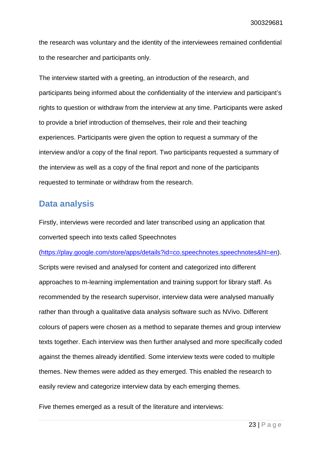the research was voluntary and the identity of the interviewees remained confidential to the researcher and participants only.

The interview started with a greeting, an introduction of the research, and participants being informed about the confidentiality of the interview and participant's rights to question or withdraw from the interview at any time. Participants were asked to provide a brief introduction of themselves, their role and their teaching experiences. Participants were given the option to request a summary of the interview and/or a copy of the final report. Two participants requested a summary of the interview as well as a copy of the final report and none of the participants requested to terminate or withdraw from the research.

### <span id="page-22-0"></span>**Data analysis**

Firstly, interviews were recorded and later transcribed using an application that converted speech into texts called Speechnotes

[\(https://play.google.com/store/apps/details?id=co.speechnotes.speechnotes&hl=en\)](https://play.google.com/store/apps/details?id=co.speechnotes.speechnotes&hl=en).

Scripts were revised and analysed for content and categorized into different approaches to m-learning implementation and training support for library staff. As recommended by the research supervisor, interview data were analysed manually rather than through a qualitative data analysis software such as NVivo. Different colours of papers were chosen as a method to separate themes and group interview texts together. Each interview was then further analysed and more specifically coded against the themes already identified. Some interview texts were coded to multiple themes. New themes were added as they emerged. This enabled the research to easily review and categorize interview data by each emerging themes.

Five themes emerged as a result of the literature and interviews: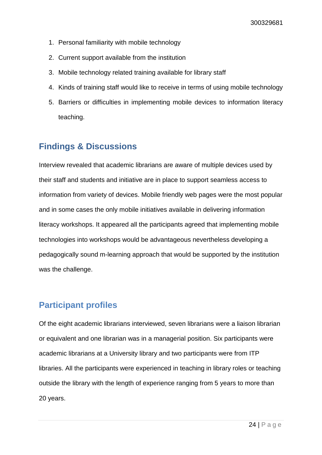- 1. Personal familiarity with mobile technology
- 2. Current support available from the institution
- 3. Mobile technology related training available for library staff
- 4. Kinds of training staff would like to receive in terms of using mobile technology
- 5. Barriers or difficulties in implementing mobile devices to information literacy teaching.

## <span id="page-23-0"></span>**Findings & Discussions**

Interview revealed that academic librarians are aware of multiple devices used by their staff and students and initiative are in place to support seamless access to information from variety of devices. Mobile friendly web pages were the most popular and in some cases the only mobile initiatives available in delivering information literacy workshops. It appeared all the participants agreed that implementing mobile technologies into workshops would be advantageous nevertheless developing a pedagogically sound m-learning approach that would be supported by the institution was the challenge.

## <span id="page-23-1"></span>**Participant profiles**

Of the eight academic librarians interviewed, seven librarians were a liaison librarian or equivalent and one librarian was in a managerial position. Six participants were academic librarians at a University library and two participants were from ITP libraries. All the participants were experienced in teaching in library roles or teaching outside the library with the length of experience ranging from 5 years to more than 20 years.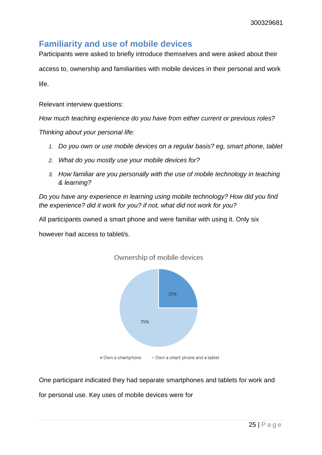## <span id="page-24-0"></span>**Familiarity and use of mobile devices**

Participants were asked to briefly introduce themselves and were asked about their

access to, ownership and familiarities with mobile devices in their personal and work

life.

Relevant interview questions:

*How much teaching experience do you have from either current or previous roles?*

*Thinking about your personal life:*

- *1. Do you own or use mobile devices on a regular basis? eg, smart phone, tablet*
- *2. What do you mostly use your mobile devices for?*
- *3. How familiar are you personally with the use of mobile technology in teaching & learning?*

*Do you have any experience in learning using mobile technology? How did you find the experience? did it work for you? if not, what did not work for you?*

All participants owned a smart phone and were familiar with using it. Only six

however had access to tablet/s.



Ownership of mobile devices

One participant indicated they had separate smartphones and tablets for work and

for personal use. Key uses of mobile devices were for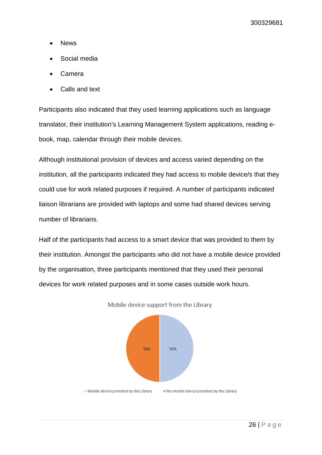- **News**
- Social media
- Camera
- Calls and text

Participants also indicated that they used learning applications such as language translator, their institution's Learning Management System applications, reading ebook, map, calendar through their mobile devices.

Although institutional provision of devices and access varied depending on the institution, all the participants indicated they had access to mobile device/s that they could use for work related purposes if required. A number of participants indicated liaison librarians are provided with laptops and some had shared devices serving number of librarians.

Half of the participants had access to a smart device that was provided to them by their institution. Amongst the participants who did not have a mobile device provided by the organisation, three participants mentioned that they used their personal devices for work related purposes and in some cases outside work hours.



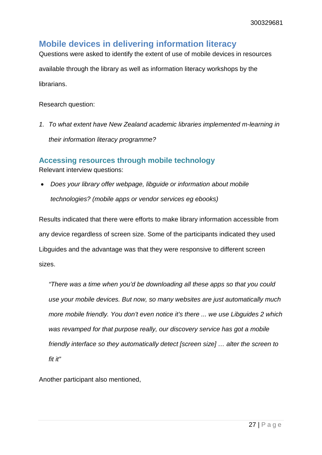## <span id="page-26-0"></span>**Mobile devices in delivering information literacy**

Questions were asked to identify the extent of use of mobile devices in resources

available through the library as well as information literacy workshops by the librarians.

Research question:

*1. To what extent have New Zealand academic libraries implemented m-learning in their information literacy programme?*

### <span id="page-26-1"></span>**Accessing resources through mobile technology**

Relevant interview questions:

• *Does your library offer webpage, libguide or information about mobile technologies? (mobile apps or vendor services eg ebooks)* 

Results indicated that there were efforts to make library information accessible from any device regardless of screen size. Some of the participants indicated they used Libguides and the advantage was that they were responsive to different screen sizes.

*"There was a time when you'd be downloading all these apps so that you could use your mobile devices. But now, so many websites are just automatically much more mobile friendly. You don't even notice it's there ... we use Libguides 2 which was revamped for that purpose really, our discovery service has got a mobile friendly interface so they automatically detect [screen size] … alter the screen to fit it"* 

Another participant also mentioned,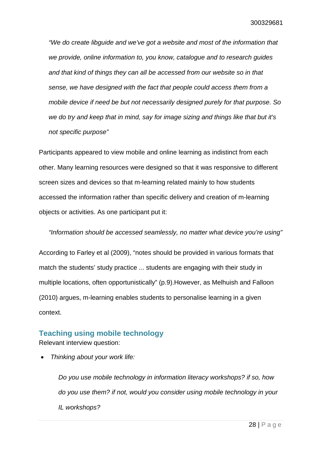*"We do create libguide and we've got a website and most of the information that we provide, online information to, you know, catalogue and to research guides and that kind of things they can all be accessed from our website so in that sense, we have designed with the fact that people could access them from a mobile device if need be but not necessarily designed purely for that purpose. So we do try and keep that in mind, say for image sizing and things like that but it's not specific purpose"*

Participants appeared to view mobile and online learning as indistinct from each other. Many learning resources were designed so that it was responsive to different screen sizes and devices so that m-learning related mainly to how students accessed the information rather than specific delivery and creation of m-learning objects or activities. As one participant put it:

*"Information should be accessed seamlessly, no matter what device you're using"* 

According to Farley et al (2009), "notes should be provided in various formats that match the students' study practice ... students are engaging with their study in multiple locations, often opportunistically" (p.9).However, as Melhuish and Falloon (2010) argues, m-learning enables students to personalise learning in a given context.

#### <span id="page-27-0"></span>**Teaching using mobile technology**

Relevant interview question:

• *Thinking about your work life:* 

*Do you use mobile technology in information literacy workshops? if so, how do you use them? if not, would you consider using mobile technology in your IL workshops?*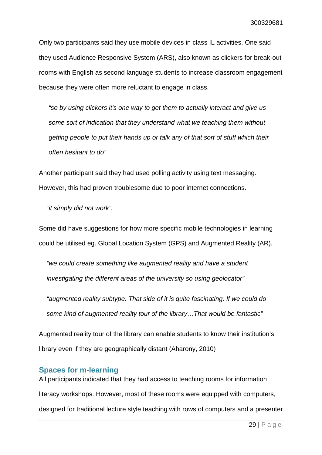Only two participants said they use mobile devices in class IL activities. One said they used Audience Responsive System (ARS), also known as clickers for break-out rooms with English as second language students to increase classroom engagement because they were often more reluctant to engage in class.

*"so by using clickers it's one way to get them to actually interact and give us some sort of indication that they understand what we teaching them without getting people to put their hands up or talk any of that sort of stuff which their often hesitant to do"*

Another participant said they had used polling activity using text messaging. However, this had proven troublesome due to poor internet connections.

"*it simply did not work".* 

Some did have suggestions for how more specific mobile technologies in learning could be utilised eg. Global Location System (GPS) and Augmented Reality (AR).

*"we could create something like augmented reality and have a student investigating the different areas of the university so using geolocator"*

*"augmented reality subtype. That side of it is quite fascinating. If we could do some kind of augmented reality tour of the library…That would be fantastic"*

Augmented reality tour of the library can enable students to know their institution's library even if they are geographically distant (Aharony, 2010)

#### <span id="page-28-0"></span>**Spaces for m-learning**

All participants indicated that they had access to teaching rooms for information literacy workshops. However, most of these rooms were equipped with computers, designed for traditional lecture style teaching with rows of computers and a presenter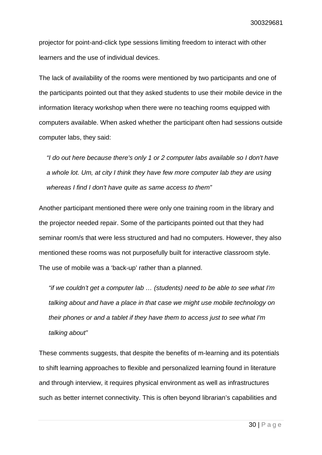projector for point-and-click type sessions limiting freedom to interact with other learners and the use of individual devices.

The lack of availability of the rooms were mentioned by two participants and one of the participants pointed out that they asked students to use their mobile device in the information literacy workshop when there were no teaching rooms equipped with computers available. When asked whether the participant often had sessions outside computer labs, they said:

*"I do out here because there's only 1 or 2 computer labs available so I don't have a whole lot. Um, at city I think they have few more computer lab they are using whereas I find I don't have quite as same access to them"*

Another participant mentioned there were only one training room in the library and the projector needed repair. Some of the participants pointed out that they had seminar room/s that were less structured and had no computers. However, they also mentioned these rooms was not purposefully built for interactive classroom style. The use of mobile was a 'back-up' rather than a planned.

*"if we couldn't get a computer lab … (students) need to be able to see what I'm talking about and have a place in that case we might use mobile technology on their phones or and a tablet if they have them to access just to see what I'm talking about"*

These comments suggests, that despite the benefits of m-learning and its potentials to shift learning approaches to flexible and personalized learning found in literature and through interview, it requires physical environment as well as infrastructures such as better internet connectivity. This is often beyond librarian's capabilities and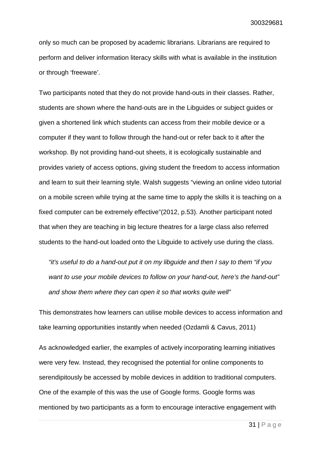only so much can be proposed by academic librarians. Librarians are required to perform and deliver information literacy skills with what is available in the institution or through 'freeware'.

Two participants noted that they do not provide hand-outs in their classes. Rather, students are shown where the hand-outs are in the Libguides or subject guides or given a shortened link which students can access from their mobile device or a computer if they want to follow through the hand-out or refer back to it after the workshop. By not providing hand-out sheets, it is ecologically sustainable and provides variety of access options, giving student the freedom to access information and learn to suit their learning style. Walsh suggests "viewing an online video tutorial on a mobile screen while trying at the same time to apply the skills it is teaching on a fixed computer can be extremely effective"(2012, p.53). Another participant noted that when they are teaching in big lecture theatres for a large class also referred students to the hand-out loaded onto the Libguide to actively use during the class.

*"it's useful to do a hand-out put it on my libguide and then I say to them "if you want to use your mobile devices to follow on your hand-out, here's the hand-out" and show them where they can open it so that works quite well"*

This demonstrates how learners can utilise mobile devices to access information and take learning opportunities instantly when needed (Ozdamli & Cavus, 2011)

As acknowledged earlier, the examples of actively incorporating learning initiatives were very few. Instead, they recognised the potential for online components to serendipitously be accessed by mobile devices in addition to traditional computers. One of the example of this was the use of Google forms. Google forms was mentioned by two participants as a form to encourage interactive engagement with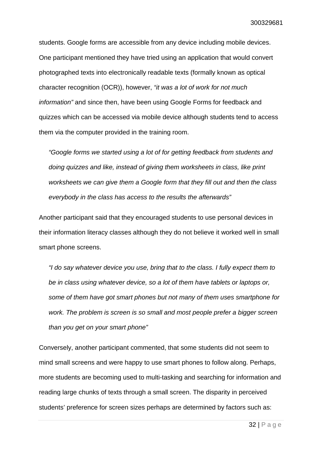students. Google forms are accessible from any device including mobile devices. One participant mentioned they have tried using an application that would convert photographed texts into electronically readable texts (formally known as optical character recognition (OCR)), however, *"it was a lot of work for not much information"* and since then, have been using Google Forms for feedback and quizzes which can be accessed via mobile device although students tend to access them via the computer provided in the training room.

*"Google forms we started using a lot of for getting feedback from students and doing quizzes and like, instead of giving them worksheets in class, like print worksheets we can give them a Google form that they fill out and then the class everybody in the class has access to the results the afterwards"* 

Another participant said that they encouraged students to use personal devices in their information literacy classes although they do not believe it worked well in small smart phone screens.

*"I do say whatever device you use, bring that to the class. I fully expect them to be in class using whatever device, so a lot of them have tablets or laptops or, some of them have got smart phones but not many of them uses smartphone for work. The problem is screen is so small and most people prefer a bigger screen than you get on your smart phone"*

Conversely, another participant commented, that some students did not seem to mind small screens and were happy to use smart phones to follow along. Perhaps, more students are becoming used to multi-tasking and searching for information and reading large chunks of texts through a small screen. The disparity in perceived students' preference for screen sizes perhaps are determined by factors such as: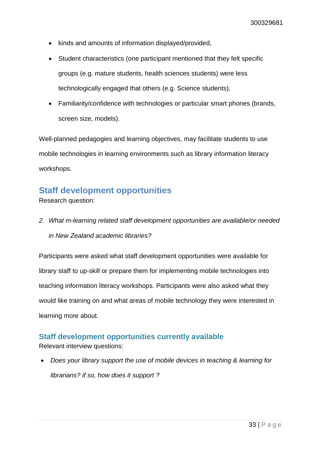- kinds and amounts of information displayed/provided,
- Student characteristics (one participant mentioned that they felt specific groups (e.g. mature students, health sciences students) were less technologically engaged that others (e.g. Science students),
- Familiarity/confidence with technologies or particular smart phones (brands, screen size, models).

Well-planned pedagogies and learning objectives, may facilitate students to use mobile technologies in learning environments such as library information literacy workshops.

### <span id="page-32-0"></span>**Staff development opportunities**

Research question:

*2. What m-learning related staff development opportunities are available/or needed in New Zealand academic libraries?*

Participants were asked what staff development opportunities were available for library staff to up-skill or prepare them for implementing mobile technologies into teaching information literacy workshops. Participants were also asked what they would like training on and what areas of mobile technology they were interested in learning more about.

#### <span id="page-32-1"></span>**Staff development opportunities currently available**

Relevant interview questions:

• *Does your library support the use of mobile devices in teaching & learning for librarians? if so, how does it support ?*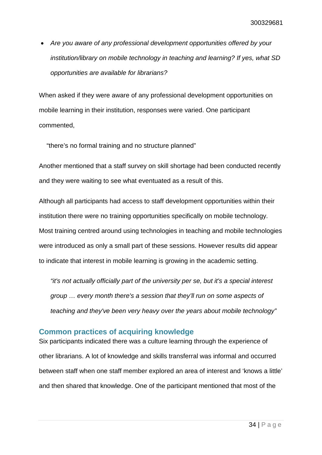• *Are you aware of any professional development opportunities offered by your institution/library on mobile technology in teaching and learning? If yes, what SD opportunities are available for librarians?* 

When asked if they were aware of any professional development opportunities on mobile learning in their institution, responses were varied. One participant commented,

"there's no formal training and no structure planned"

Another mentioned that a staff survey on skill shortage had been conducted recently and they were waiting to see what eventuated as a result of this.

Although all participants had access to staff development opportunities within their institution there were no training opportunities specifically on mobile technology. Most training centred around using technologies in teaching and mobile technologies were introduced as only a small part of these sessions. However results did appear to indicate that interest in mobile learning is growing in the academic setting.

*"it's not actually officially part of the university per se, but it's a special interest group … every month there's a session that they'll run on some aspects of teaching and they've been very heavy over the years about mobile technology"*

#### <span id="page-33-0"></span>**Common practices of acquiring knowledge**

Six participants indicated there was a culture learning through the experience of other librarians. A lot of knowledge and skills transferral was informal and occurred between staff when one staff member explored an area of interest and 'knows a little' and then shared that knowledge. One of the participant mentioned that most of the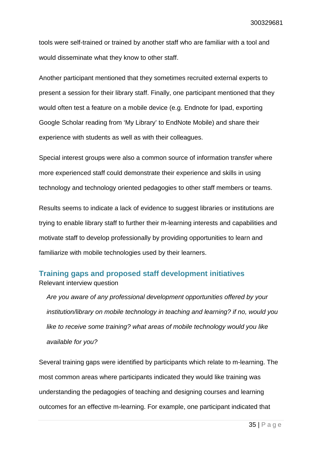tools were self-trained or trained by another staff who are familiar with a tool and would disseminate what they know to other staff.

Another participant mentioned that they sometimes recruited external experts to present a session for their library staff. Finally, one participant mentioned that they would often test a feature on a mobile device (e.g. Endnote for Ipad, exporting Google Scholar reading from 'My Library' to EndNote Mobile) and share their experience with students as well as with their colleagues.

Special interest groups were also a common source of information transfer where more experienced staff could demonstrate their experience and skills in using technology and technology oriented pedagogies to other staff members or teams.

Results seems to indicate a lack of evidence to suggest libraries or institutions are trying to enable library staff to further their m-learning interests and capabilities and motivate staff to develop professionally by providing opportunities to learn and familiarize with mobile technologies used by their learners.

### <span id="page-34-0"></span>**Training gaps and proposed staff development initiatives** Relevant interview question

*Are you aware of any professional development opportunities offered by your institution/library on mobile technology in teaching and learning? if no, would you like to receive some training? what areas of mobile technology would you like available for you?* 

Several training gaps were identified by participants which relate to m-learning. The most common areas where participants indicated they would like training was understanding the pedagogies of teaching and designing courses and learning outcomes for an effective m-learning. For example, one participant indicated that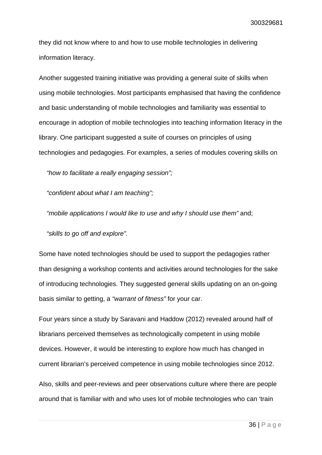they did not know where to and how to use mobile technologies in delivering information literacy.

Another suggested training initiative was providing a general suite of skills when using mobile technologies. Most participants emphasised that having the confidence and basic understanding of mobile technologies and familiarity was essential to encourage in adoption of mobile technologies into teaching information literacy in the library. One participant suggested a suite of courses on principles of using technologies and pedagogies. For examples, a series of modules covering skills on

*"how to facilitate a really engaging session";*

*"confident about what I am teaching";* 

*"mobile applications I would like to use and why I should use them"* and;

*"skills to go off and explore".*

Some have noted technologies should be used to support the pedagogies rather than designing a workshop contents and activities around technologies for the sake of introducing technologies. They suggested general skills updating on an on-going basis similar to getting, a *"warrant of fitness"* for your car.

Four years since a study by Saravani and Haddow (2012) revealed around half of librarians perceived themselves as technologically competent in using mobile devices. However, it would be interesting to explore how much has changed in current librarian's perceived competence in using mobile technologies since 2012.

Also, skills and peer-reviews and peer observations culture where there are people around that is familiar with and who uses lot of mobile technologies who can 'train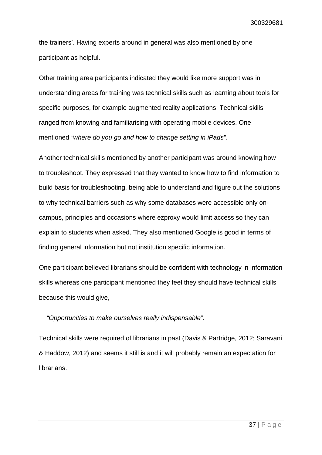the trainers'. Having experts around in general was also mentioned by one participant as helpful.

Other training area participants indicated they would like more support was in understanding areas for training was technical skills such as learning about tools for specific purposes, for example augmented reality applications. Technical skills ranged from knowing and familiarising with operating mobile devices. One mentioned *"where do you go and how to change setting in iPads".*

Another technical skills mentioned by another participant was around knowing how to troubleshoot. They expressed that they wanted to know how to find information to build basis for troubleshooting, being able to understand and figure out the solutions to why technical barriers such as why some databases were accessible only oncampus, principles and occasions where ezproxy would limit access so they can explain to students when asked. They also mentioned Google is good in terms of finding general information but not institution specific information.

One participant believed librarians should be confident with technology in information skills whereas one participant mentioned they feel they should have technical skills because this would give,

#### *"Opportunities to make ourselves really indispensable".*

Technical skills were required of librarians in past (Davis & Partridge, 2012; Saravani & Haddow, 2012) and seems it still is and it will probably remain an expectation for librarians.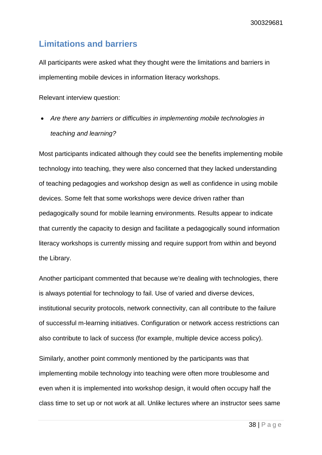## <span id="page-37-0"></span>**Limitations and barriers**

All participants were asked what they thought were the limitations and barriers in implementing mobile devices in information literacy workshops.

Relevant interview question:

• *Are there any barriers or difficulties in implementing mobile technologies in teaching and learning?* 

Most participants indicated although they could see the benefits implementing mobile technology into teaching, they were also concerned that they lacked understanding of teaching pedagogies and workshop design as well as confidence in using mobile devices. Some felt that some workshops were device driven rather than pedagogically sound for mobile learning environments. Results appear to indicate that currently the capacity to design and facilitate a pedagogically sound information literacy workshops is currently missing and require support from within and beyond the Library.

Another participant commented that because we're dealing with technologies, there is always potential for technology to fail. Use of varied and diverse devices, institutional security protocols, network connectivity, can all contribute to the failure of successful m-learning initiatives. Configuration or network access restrictions can also contribute to lack of success (for example, multiple device access policy).

Similarly, another point commonly mentioned by the participants was that implementing mobile technology into teaching were often more troublesome and even when it is implemented into workshop design, it would often occupy half the class time to set up or not work at all. Unlike lectures where an instructor sees same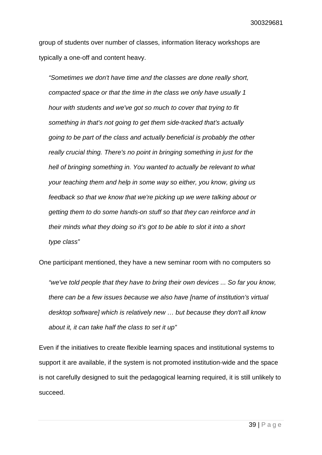group of students over number of classes, information literacy workshops are typically a one-off and content heavy.

*"Sometimes we don't have time and the classes are done really short, compacted space or that the time in the class we only have usually 1 hour with students and we've got so much to cover that trying to fit something in that's not going to get them side-tracked that's actually going to be part of the class and actually beneficial is probably the other really crucial thing. There's no point in bringing something in just for the hell of bringing something in. You wanted to actually be relevant to what your teaching them and help in some way so either, you know, giving us feedback so that we know that we're picking up we were talking about or getting them to do some hands-on stuff so that they can reinforce and in their minds what they doing so it's got to be able to slot it into a short type class"* 

One participant mentioned, they have a new seminar room with no computers so

*"we've told people that they have to bring their own devices ... So far you know, there can be a few issues because we also have [name of institution's virtual desktop software] which is relatively new … but because they don't all know about it, it can take half the class to set it up"*

Even if the initiatives to create flexible learning spaces and institutional systems to support it are available, if the system is not promoted institution-wide and the space is not carefully designed to suit the pedagogical learning required, it is still unlikely to succeed.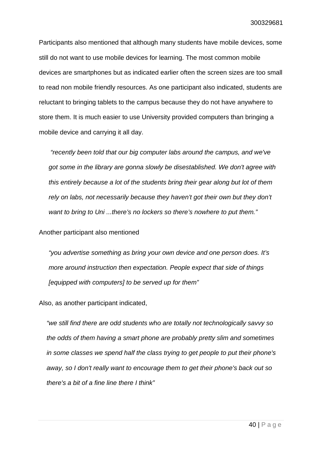Participants also mentioned that although many students have mobile devices, some still do not want to use mobile devices for learning. The most common mobile devices are smartphones but as indicated earlier often the screen sizes are too small to read non mobile friendly resources. As one participant also indicated, students are reluctant to bringing tablets to the campus because they do not have anywhere to store them. It is much easier to use University provided computers than bringing a mobile device and carrying it all day.

*"recently been told that our big computer labs around the campus, and we've got some in the library are gonna slowly be disestablished. We don't agree with this entirely because a lot of the students bring their gear along but lot of them rely on labs, not necessarily because they haven't got their own but they don't want to bring to Uni ...there's no lockers so there's nowhere to put them."*

Another participant also mentioned

*"you advertise something as bring your own device and one person does. It's more around instruction then expectation. People expect that side of things [equipped with computers] to be served up for them"*

Also, as another participant indicated,

*"we still find there are odd students who are totally not technologically savvy so the odds of them having a smart phone are probably pretty slim and sometimes in some classes we spend half the class trying to get people to put their phone's away, so I don't really want to encourage them to get their phone's back out so there's a bit of a fine line there I think"*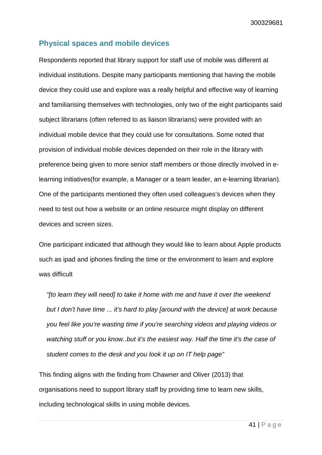#### <span id="page-40-0"></span>**Physical spaces and mobile devices**

Respondents reported that library support for staff use of mobile was different at individual institutions. Despite many participants mentioning that having the mobile device they could use and explore was a really helpful and effective way of learning and familiarising themselves with technologies, only two of the eight participants said subject librarians (often referred to as liaison librarians) were provided with an individual mobile device that they could use for consultations. Some noted that provision of individual mobile devices depended on their role in the library with preference being given to more senior staff members or those directly involved in elearning initiatives(for example, a Manager or a team leader, an e-learning librarian). One of the participants mentioned they often used colleagues's devices when they need to test out how a website or an online resource might display on different devices and screen sizes.

One participant indicated that although they would like to learn about Apple products such as ipad and iphones finding the time or the environment to learn and explore was difficult

*"[to learn they will need] to take it home with me and have it over the weekend but I don't have time ... it's hard to play [around with the device] at work because you feel like you're wasting time if you're searching videos and playing videos or watching stuff or you know..but it's the easiest way. Half the time it's the case of student comes to the desk and you look it up on IT help page"*

This finding aligns with the finding from Chawner and Oliver (2013) that organisations need to support library staff by providing time to learn new skills, including technological skills in using mobile devices.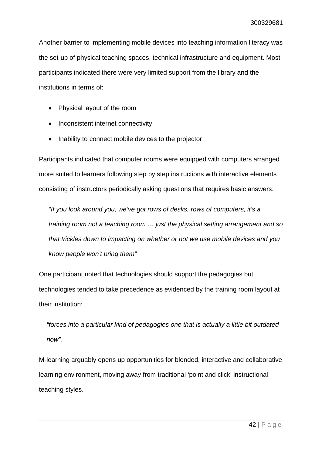Another barrier to implementing mobile devices into teaching information literacy was the set-up of physical teaching spaces, technical infrastructure and equipment. Most participants indicated there were very limited support from the library and the institutions in terms of:

- Physical layout of the room
- Inconsistent internet connectivity
- Inability to connect mobile devices to the projector

Participants indicated that computer rooms were equipped with computers arranged more suited to learners following step by step instructions with interactive elements consisting of instructors periodically asking questions that requires basic answers.

*"If you look around you, we've got rows of desks, rows of computers, it's a training room not a teaching room … just the physical setting arrangement and so that trickles down to impacting on whether or not we use mobile devices and you know people won't bring them"*

One participant noted that technologies should support the pedagogies but technologies tended to take precedence as evidenced by the training room layout at their institution:

*"forces into a particular kind of pedagogies one that is actually a little bit outdated now".* 

M-learning arguably opens up opportunities for blended, interactive and collaborative learning environment, moving away from traditional 'point and click' instructional teaching styles.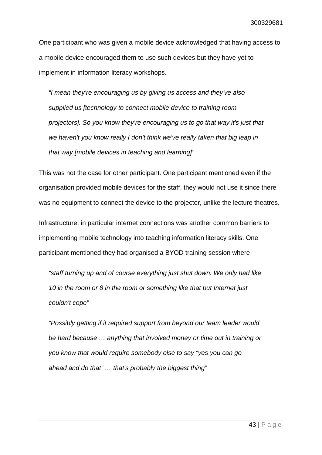One participant who was given a mobile device acknowledged that having access to a mobile device encouraged them to use such devices but they have yet to implement in information literacy workshops.

*"I mean they're encouraging us by giving us access and they've also supplied us [technology to connect mobile device to training room projectors]. So you know they're encouraging us to go that way it's just that we haven't you know really I don't think we've really taken that big leap in that way [mobile devices in teaching and learning]"*

This was not the case for other participant. One participant mentioned even if the organisation provided mobile devices for the staff, they would not use it since there was no equipment to connect the device to the projector, unlike the lecture theatres.

Infrastructure, in particular internet connections was another common barriers to implementing mobile technology into teaching information literacy skills. One participant mentioned they had organised a BYOD training session where

*"staff turning up and of course everything just shut down. We only had like 10 in the room or 8 in the room or something like that but Internet just couldn't cope"*

*"Possibly getting if it required support from beyond our team leader would be hard because … anything that involved money or time out in training or you know that would require somebody else to say "yes you can go ahead and do that" … that's probably the biggest thing"*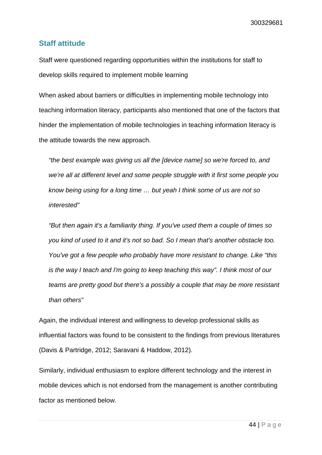#### <span id="page-43-0"></span>**Staff attitude**

Staff were questioned regarding opportunities within the institutions for staff to develop skills required to implement mobile learning

When asked about barriers or difficulties in implementing mobile technology into teaching information literacy, participants also mentioned that one of the factors that hinder the implementation of mobile technologies in teaching information literacy is the attitude towards the new approach.

*"the best example was giving us all the [device name] so we're forced to, and we're all at different level and some people struggle with it first some people you know being using for a long time … but yeah I think some of us are not so interested"*

*"But then again it's a familiarity thing. If you've used them a couple of times so you kind of used to it and it's not so bad. So I mean that's another obstacle too. You've got a few people who probably have more resistant to change. Like "this is the way I teach and I'm going to keep teaching this way". I think most of our teams are pretty good but there's a possibly a couple that may be more resistant than others"*

Again, the individual interest and willingness to develop professional skills as influential factors was found to be consistent to the findings from previous literatures (Davis & Partridge, 2012; Saravani & Haddow, 2012).

Similarly, individual enthusiasm to explore different technology and the interest in mobile devices which is not endorsed from the management is another contributing factor as mentioned below.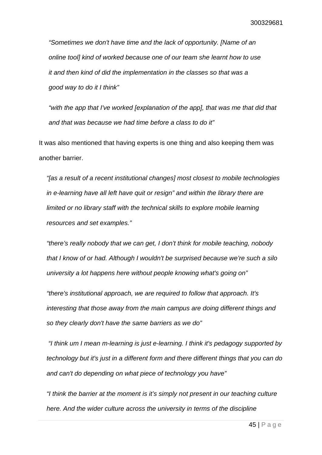*"Sometimes we don't have time and the lack of opportunity. [Name of an online tool] kind of worked because one of our team she learnt how to use it and then kind of did the implementation in the classes so that was a good way to do it I think"* 

*"with the app that I've worked [explanation of the app], that was me that did that and that was because we had time before a class to do it"*

It was also mentioned that having experts is one thing and also keeping them was another barrier.

*"[as a result of a recent institutional changes] most closest to mobile technologies in e-learning have all left have quit or resign" and within the library there are limited or no library staff with the technical skills to explore mobile learning resources and set examples."*

*"there's really nobody that we can get, I don't think for mobile teaching, nobody that I know of or had. Although I wouldn't be surprised because we're such a silo university a lot happens here without people knowing what's going on"*

*"there's institutional approach, we are required to follow that approach. It's interesting that those away from the main campus are doing different things and so they clearly don't have the same barriers as we do"*

*"I think um I mean m-learning is just e-learning. I think it's pedagogy supported by technology but it's just in a different form and there different things that you can do and can't do depending on what piece of technology you have"*

*"I think the barrier at the moment is it's simply not present in our teaching culture here. And the wider culture across the university in terms of the discipline*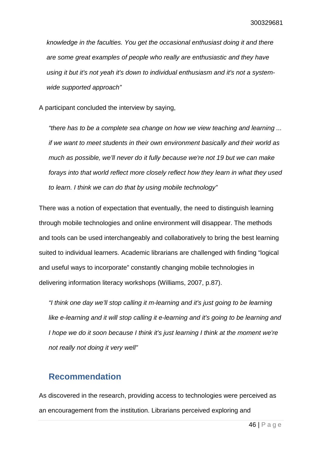*knowledge in the faculties. You get the occasional enthusiast doing it and there are some great examples of people who really are enthusiastic and they have using it but it's not yeah it's down to individual enthusiasm and it's not a systemwide supported approach"*

A participant concluded the interview by saying,

*"there has to be a complete sea change on how we view teaching and learning ... if we want to meet students in their own environment basically and their world as much as possible, we'll never do it fully because we're not 19 but we can make forays into that world reflect more closely reflect how they learn in what they used to learn. I think we can do that by using mobile technology"*

There was a notion of expectation that eventually, the need to distinguish learning through mobile technologies and online environment will disappear. The methods and tools can be used interchangeably and collaboratively to bring the best learning suited to individual learners. Academic librarians are challenged with finding "logical and useful ways to incorporate" constantly changing mobile technologies in delivering information literacy workshops (Williams, 2007, p.87).

*"I think one day we'll stop calling it m-learning and it's just going to be learning like e-learning and it will stop calling it e-learning and it's going to be learning and I hope we do it soon because I think it's just learning I think at the moment we're not really not doing it very well"*

#### <span id="page-45-0"></span>**Recommendation**

As discovered in the research, providing access to technologies were perceived as an encouragement from the institution. Librarians perceived exploring and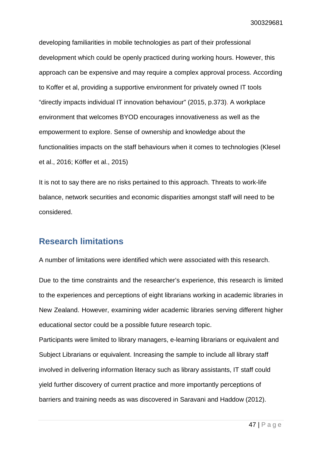developing familiarities in mobile technologies as part of their professional development which could be openly practiced during working hours. However, this approach can be expensive and may require a complex approval process. According to Koffer et al, providing a supportive environment for privately owned IT tools "directly impacts individual IT innovation behaviour" (2015, p.373). A workplace environment that welcomes BYOD encourages innovativeness as well as the empowerment to explore. Sense of ownership and knowledge about the functionalities impacts on the staff behaviours when it comes to technologies (Klesel et al., 2016; Köffer et al., 2015)

It is not to say there are no risks pertained to this approach. Threats to work-life balance, network securities and economic disparities amongst staff will need to be considered.

## <span id="page-46-0"></span>**Research limitations**

A number of limitations were identified which were associated with this research.

Due to the time constraints and the researcher's experience, this research is limited to the experiences and perceptions of eight librarians working in academic libraries in New Zealand. However, examining wider academic libraries serving different higher educational sector could be a possible future research topic.

Participants were limited to library managers, e-learning librarians or equivalent and Subject Librarians or equivalent. Increasing the sample to include all library staff involved in delivering information literacy such as library assistants, IT staff could yield further discovery of current practice and more importantly perceptions of barriers and training needs as was discovered in Saravani and Haddow (2012).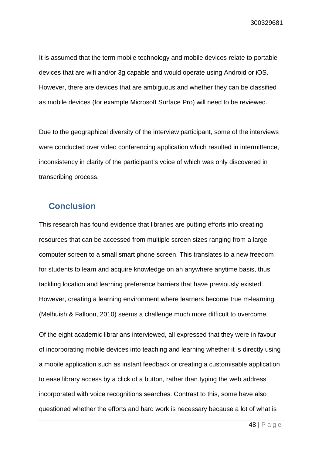It is assumed that the term mobile technology and mobile devices relate to portable devices that are wifi and/or 3g capable and would operate using Android or iOS. However, there are devices that are ambiguous and whether they can be classified as mobile devices (for example Microsoft Surface Pro) will need to be reviewed.

Due to the geographical diversity of the interview participant, some of the interviews were conducted over video conferencing application which resulted in intermittence, inconsistency in clarity of the participant's voice of which was only discovered in transcribing process.

## <span id="page-47-0"></span>**Conclusion**

This research has found evidence that libraries are putting efforts into creating resources that can be accessed from multiple screen sizes ranging from a large computer screen to a small smart phone screen. This translates to a new freedom for students to learn and acquire knowledge on an anywhere anytime basis, thus tackling location and learning preference barriers that have previously existed. However, creating a learning environment where learners become true m-learning (Melhuish & Falloon, 2010) seems a challenge much more difficult to overcome.

Of the eight academic librarians interviewed, all expressed that they were in favour of incorporating mobile devices into teaching and learning whether it is directly using a mobile application such as instant feedback or creating a customisable application to ease library access by a click of a button, rather than typing the web address incorporated with voice recognitions searches. Contrast to this, some have also questioned whether the efforts and hard work is necessary because a lot of what is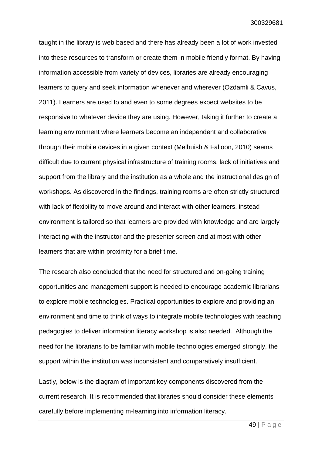taught in the library is web based and there has already been a lot of work invested into these resources to transform or create them in mobile friendly format. By having information accessible from variety of devices, libraries are already encouraging learners to query and seek information whenever and wherever (Ozdamli & Cavus, 2011). Learners are used to and even to some degrees expect websites to be responsive to whatever device they are using. However, taking it further to create a learning environment where learners become an independent and collaborative through their mobile devices in a given context (Melhuish & Falloon, 2010) seems difficult due to current physical infrastructure of training rooms, lack of initiatives and support from the library and the institution as a whole and the instructional design of workshops. As discovered in the findings, training rooms are often strictly structured with lack of flexibility to move around and interact with other learners, instead environment is tailored so that learners are provided with knowledge and are largely interacting with the instructor and the presenter screen and at most with other learners that are within proximity for a brief time.

The research also concluded that the need for structured and on-going training opportunities and management support is needed to encourage academic librarians to explore mobile technologies. Practical opportunities to explore and providing an environment and time to think of ways to integrate mobile technologies with teaching pedagogies to deliver information literacy workshop is also needed. Although the need for the librarians to be familiar with mobile technologies emerged strongly, the support within the institution was inconsistent and comparatively insufficient.

Lastly, below is the diagram of important key components discovered from the current research. It is recommended that libraries should consider these elements carefully before implementing m-learning into information literacy.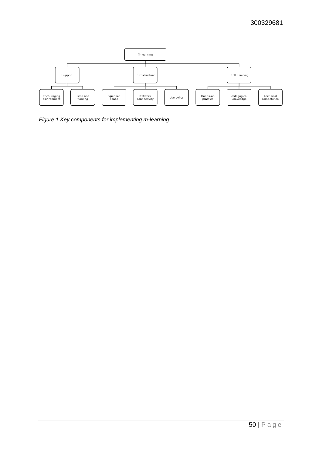

*Figure 1 Key components for implementing m-learning*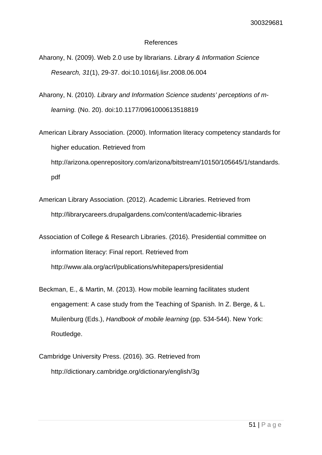#### References

- Aharony, N. (2009). Web 2.0 use by librarians. *Library & Information Science Research, 31*(1), 29-37. doi:10.1016/j.lisr.2008.06.004
- Aharony, N. (2010). *Library and Information Science students' perceptions of mlearning.* (No. 20). doi:10.1177/0961000613518819
- American Library Association. (2000). Information literacy competency standards for higher education. Retrieved from http://arizona.openrepository.com/arizona/bitstream/10150/105645/1/standards. pdf
- American Library Association. (2012). Academic Libraries. Retrieved from http://librarycareers.drupalgardens.com/content/academic-libraries
- Association of College & Research Libraries. (2016). Presidential committee on information literacy: Final report. Retrieved from http://www.ala.org/acrl/publications/whitepapers/presidential
- Beckman, E., & Martin, M. (2013). How mobile learning facilitates student engagement: A case study from the Teaching of Spanish. In Z. Berge, & L. Muilenburg (Eds.), *Handbook of mobile learning* (pp. 534-544). New York: Routledge.
- Cambridge University Press. (2016). 3G. Retrieved from http://dictionary.cambridge.org/dictionary/english/3g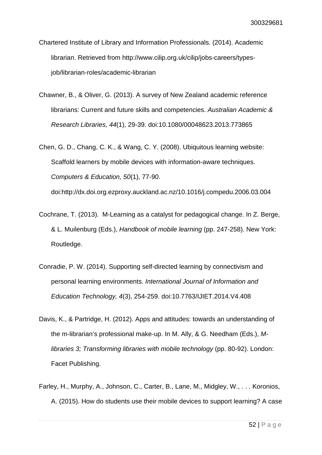Chartered Institute of Library and Information Professionals. (2014). Academic librarian. Retrieved from http://www.cilip.org.uk/cilip/jobs-careers/typesjob/librarian-roles/academic-librarian

Chawner, B., & Oliver, G. (2013). A survey of New Zealand academic reference librarians: Current and future skills and competencies. *Australian Academic & Research Libraries, 44*(1), 29-39. doi:10.1080/00048623.2013.773865

Chen, G. D., Chang, C. K., & Wang, C. Y. (2008). Ubiquitous learning website: Scaffold learners by mobile devices with information-aware techniques. *Computers & Education, 50*(1), 77-90. doi:http://dx.doi.org.ezproxy.auckland.ac.nz/10.1016/j.compedu.2006.03.004

Cochrane, T. (2013). M-Learning as a catalyst for pedagogical change. In Z. Berge, & L. Muilenburg (Eds.), *Handbook of mobile learning* (pp. 247-258). New York: Routledge.

- Conradie, P. W. (2014). Supporting self-directed learning by connectivism and personal learning environments. *International Journal of Information and Education Technology, 4*(3), 254-259. doi:10.7763/IJIET.2014.V4.408
- Davis, K., & Partridge, H. (2012). Apps and attitudes: towards an understanding of the m-librarian's professional make-up. In M. Ally, & G. Needham (Eds.), *Mlibraries 3; Transforming libraries with mobile technology* (pp. 80-92). London: Facet Publishing.
- Farley, H., Murphy, A., Johnson, C., Carter, B., Lane, M., Midgley, W., . . . Koronios, A. (2015). How do students use their mobile devices to support learning? A case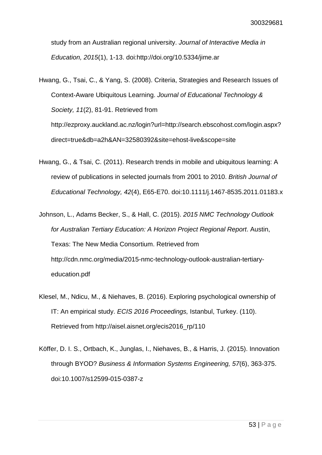study from an Australian regional university. *Journal of Interactive Media in Education, 2015*(1), 1-13. doi:http://doi.org/10.5334/jime.ar

Hwang, G., Tsai, C., & Yang, S. (2008). Criteria, Strategies and Research Issues of Context-Aware Ubiquitous Learning. *Journal of Educational Technology & Society, 11*(2), 81-91. Retrieved from http://ezproxy.auckland.ac.nz/login?url=http://search.ebscohost.com/login.aspx? direct=true&db=a2h&AN=32580392&site=ehost-live&scope=site

- Hwang, G., & Tsai, C. (2011). Research trends in mobile and ubiquitous learning: A review of publications in selected journals from 2001 to 2010. *British Journal of Educational Technology, 42*(4), E65-E70. doi:10.1111/j.1467-8535.2011.01183.x
- Johnson, L., Adams Becker, S., & Hall, C. (2015). *2015 NMC Technology Outlook for Australian Tertiary Education: A Horizon Project Regional Report*. Austin, Texas: The New Media Consortium. Retrieved from http://cdn.nmc.org/media/2015-nmc-technology-outlook-australian-tertiaryeducation.pdf
- Klesel, M., Ndicu, M., & Niehaves, B. (2016). Exploring psychological ownership of IT: An empirical study. *ECIS 2016 Proceedings,* Istanbul, Turkey. (110). Retrieved from http://aisel.aisnet.org/ecis2016\_rp/110
- Köffer, D. I. S., Ortbach, K., Junglas, I., Niehaves, B., & Harris, J. (2015). Innovation through BYOD? *Business & Information Systems Engineering, 57*(6), 363-375. doi:10.1007/s12599-015-0387-z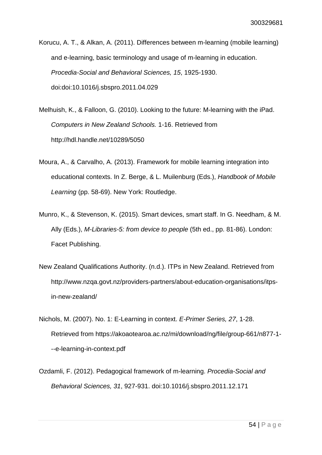Korucu, A. T., & Alkan, A. (2011). Differences between m-learning (mobile learning) and e-learning, basic terminology and usage of m-learning in education. *Procedia-Social and Behavioral Sciences, 15*, 1925-1930. doi:doi:10.1016/j.sbspro.2011.04.029

Melhuish, K., & Falloon, G. (2010). Looking to the future: M-learning with the iPad. *Computers in New Zealand Schools.* 1-16. Retrieved from http://hdl.handle.net/10289/5050

- Moura, A., & Carvalho, A. (2013). Framework for mobile learning integration into educational contexts. In Z. Berge, & L. Muilenburg (Eds.), *Handbook of Mobile Learning* (pp. 58-69). New York: Routledge.
- Munro, K., & Stevenson, K. (2015). Smart devices, smart staff. In G. Needham, & M. Ally (Eds.), *M-Libraries-5: from device to people* (5th ed., pp. 81-86). London: Facet Publishing.
- New Zealand Qualifications Authority. (n.d.). ITPs in New Zealand. Retrieved from http://www.nzqa.govt.nz/providers-partners/about-education-organisations/itpsin-new-zealand/
- Nichols, M. (2007). No. 1: E-Learning in context. *E-Primer Series, 27*, 1-28. Retrieved from https://akoaotearoa.ac.nz/mi/download/ng/file/group-661/n877-1- --e-learning-in-context.pdf
- Ozdamli, F. (2012). Pedagogical framework of m-learning. *Procedia-Social and Behavioral Sciences, 31*, 927-931. doi:10.1016/j.sbspro.2011.12.171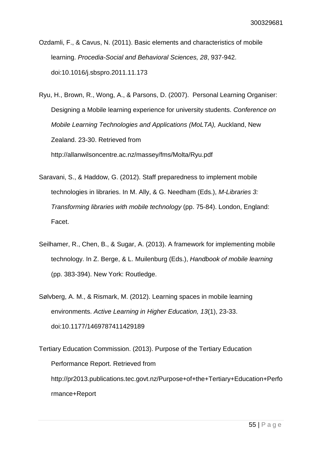Ozdamli, F., & Cavus, N. (2011). Basic elements and characteristics of mobile learning. *Procedia-Social and Behavioral Sciences, 28*, 937-942. doi:10.1016/j.sbspro.2011.11.173

Ryu, H., Brown, R., Wong, A., & Parsons, D. (2007). Personal Learning Organiser: Designing a Mobile learning experience for university students. *Conference on Mobile Learning Technologies and Applications (MoLTA),* Auckland, New Zealand. 23-30. Retrieved from http://allanwilsoncentre.ac.nz/massey/fms/Molta/Ryu.pdf

- Saravani, S., & Haddow, G. (2012). Staff preparedness to implement mobile technologies in libraries. In M. Ally, & G. Needham (Eds.), *M-Libraries 3: Transforming libraries with mobile technology* (pp. 75-84). London, England: Facet.
- Seilhamer, R., Chen, B., & Sugar, A. (2013). A framework for implementing mobile technology. In Z. Berge, & L. Muilenburg (Eds.), *Handbook of mobile learning* (pp. 383-394). New York: Routledge.
- Sølvberg, A. M., & Rismark, M. (2012). Learning spaces in mobile learning environments. *Active Learning in Higher Education, 13*(1), 23-33. doi:10.1177/1469787411429189
- Tertiary Education Commission. (2013). Purpose of the Tertiary Education Performance Report. Retrieved from http://pr2013.publications.tec.govt.nz/Purpose+of+the+Tertiary+Education+Perfo rmance+Report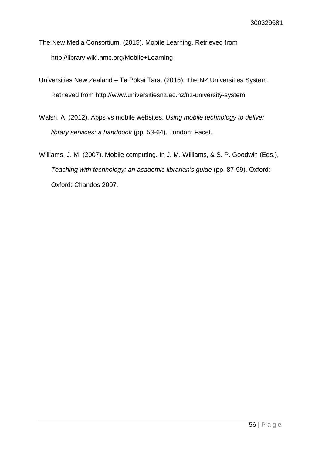- The New Media Consortium. (2015). Mobile Learning. Retrieved from http://library.wiki.nmc.org/Mobile+Learning
- Universities New Zealand Te Pōkai Tara. (2015). The NZ Universities System. Retrieved from http://www.universitiesnz.ac.nz/nz-university-system
- Walsh, A. (2012). Apps vs mobile websites. *Using mobile technology to deliver library services: a handbook* (pp. 53-64). London: Facet.
- Williams, J. M. (2007). Mobile computing. In J. M. Williams, & S. P. Goodwin (Eds.), *Teaching with technology: an academic librarian's guide* (pp. 87-99). Oxford: Oxford: Chandos 2007.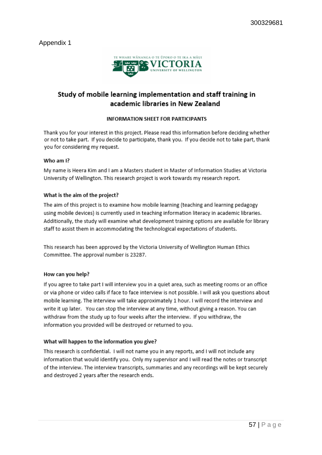#### Appendix 1



### Study of mobile learning implementation and staff training in academic libraries in New Zealand

#### **INFORMATION SHEFT FOR PARTICIPANTS**

Thank you for your interest in this project. Please read this information before deciding whether or not to take part. If you decide to participate, thank you. If you decide not to take part, thank you for considering my request.

#### Who am I?

My name is Heera Kim and I am a Masters student in Master of Information Studies at Victoria University of Wellington. This research project is work towards my research report.

#### What is the aim of the project?

The aim of this project is to examine how mobile learning (teaching and learning pedagogy using mobile devices) is currently used in teaching information literacy in academic libraries. Additionally, the study will examine what development training options are available for library staff to assist them in accommodating the technological expectations of students.

This research has been approved by the Victoria University of Wellington Human Ethics Committee. The approval number is 23287.

#### How can you help?

If you agree to take part I will interview you in a quiet area, such as meeting rooms or an office or via phone or video calls if face to face interview is not possible. I will ask you questions about mobile learning. The interview will take approximately 1 hour. I will record the interview and write it up later. You can stop the interview at any time, without giving a reason. You can withdraw from the study up to four weeks after the interview. If you withdraw, the information you provided will be destroyed or returned to you.

#### What will happen to the information you give?

This research is confidential. I will not name you in any reports, and I will not include any information that would identify you. Only my supervisor and I will read the notes or transcript of the interview. The interview transcripts, summaries and any recordings will be kept securely and destroyed 2 years after the research ends.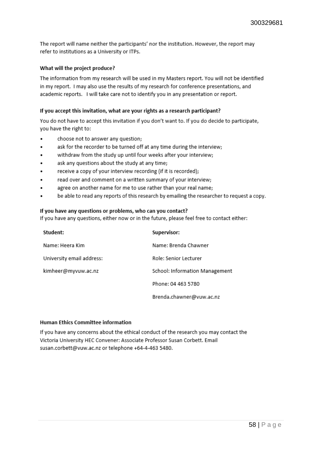The report will name neither the participants' nor the institution. However, the report may refer to institutions as a University or ITPs.

#### What will the project produce?

The information from my research will be used in my Masters report. You will not be identified in my report. I may also use the results of my research for conference presentations, and academic reports. I will take care not to identify you in any presentation or report.

#### If you accept this invitation, what are your rights as a research participant?

You do not have to accept this invitation if you don't want to. If you do decide to participate, you have the right to:

- choose not to answer any question;
- ask for the recorder to be turned off at any time during the interview;
- withdraw from the study up until four weeks after your interview;
- ask any questions about the study at any time;
- receive a copy of your interview recording (if it is recorded);
- read over and comment on a written summary of your interview;
- agree on another name for me to use rather than your real name;
- be able to read any reports of this research by emailing the researcher to request a copy.

#### If you have any questions or problems, who can you contact?

If you have any questions, either now or in the future, please feel free to contact either:

| Student:                  | Supervisor:                    |
|---------------------------|--------------------------------|
| Name: Heera Kim           | Name: Brenda Chawner           |
| University email address: | Role: Senior Lecturer          |
| kimheer@myvuw.ac.nz       | School: Information Management |
|                           | Phone: 04 463 5780             |
|                           | Brenda.chawner@vuw.ac.nz       |

#### Human Ethics Committee information

If you have any concerns about the ethical conduct of the research you may contact the Victoria University HEC Convener: Associate Professor Susan Corbett. Email susan.corbett@vuw.ac.nz or telephone +64-4-463 5480.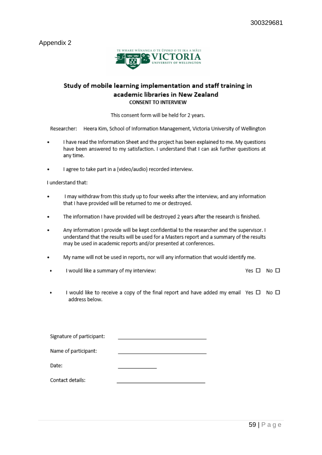Appendix 2



#### Study of mobile learning implementation and staff training in academic libraries in New Zealand **CONSENT TO INTERVIEW**

This consent form will be held for 2 years.

Researcher: Heera Kim, School of Information Management, Victoria University of Wellington

- I have read the Information Sheet and the project has been explained to me. My questions have been answered to my satisfaction. I understand that I can ask further questions at any time.
- I agree to take part in a (video/audio) recorded interview.

I understand that:

- I may withdraw from this study up to four weeks after the interview, and any information that I have provided will be returned to me or destroyed.
- The information I have provided will be destroyed 2 years after the research is finished.
- Any information I provide will be kept confidential to the researcher and the supervisor. I understand that the results will be used for a Masters report and a summary of the results may be used in academic reports and/or presented at conferences.
- My name will not be used in reports, nor will any information that would identify me.
- I would like a summary of my interview:  $\blacksquare$

Yes  $\square$  No  $\square$ 

I would like to receive a copy of the final report and have added my email Yes  $\Box$  No  $\Box$ address below.

Signature of participant: Name of participant: Date: Contact details: